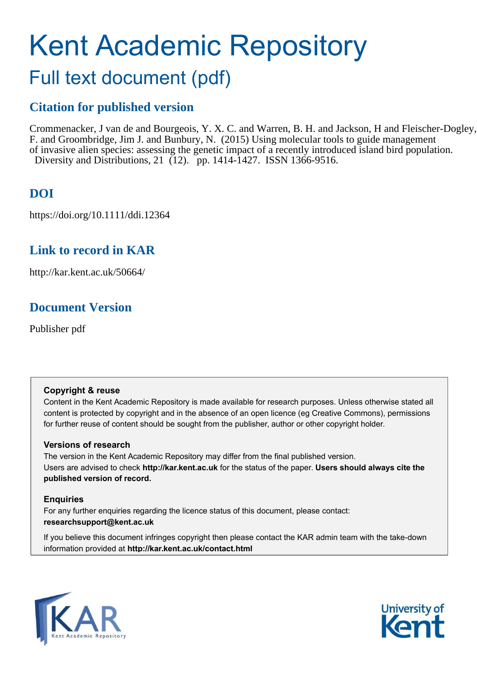# Kent Academic Repository

## Full text document (pdf)

## **Citation for published version**

Crommenacker, J van de and Bourgeois, Y. X. C. and Warren, B. H. and Jackson, H and Fleischer-Dogley, F. and Groombridge, Jim J. and Bunbury, N. (2015) Using molecular tools to guide management of invasive alien species: assessing the genetic impact of a recently introduced island bird population. Diversity and Distributions, 21 (12). pp. 1414-1427. ISSN 1366-9516.

## **DOI**

https://doi.org/10.1111/ddi.12364

### **Link to record in KAR**

http://kar.kent.ac.uk/50664/

## **Document Version**

Publisher pdf

#### **Copyright & reuse**

Content in the Kent Academic Repository is made available for research purposes. Unless otherwise stated all content is protected by copyright and in the absence of an open licence (eg Creative Commons), permissions for further reuse of content should be sought from the publisher, author or other copyright holder.

#### **Versions of research**

The version in the Kent Academic Repository may differ from the final published version. Users are advised to check **http://kar.kent.ac.uk** for the status of the paper. **Users should always cite the published version of record.**

#### **Enquiries**

For any further enquiries regarding the licence status of this document, please contact: **researchsupport@kent.ac.uk**

If you believe this document infringes copyright then please contact the KAR admin team with the take-down information provided at **http://kar.kent.ac.uk/contact.html**



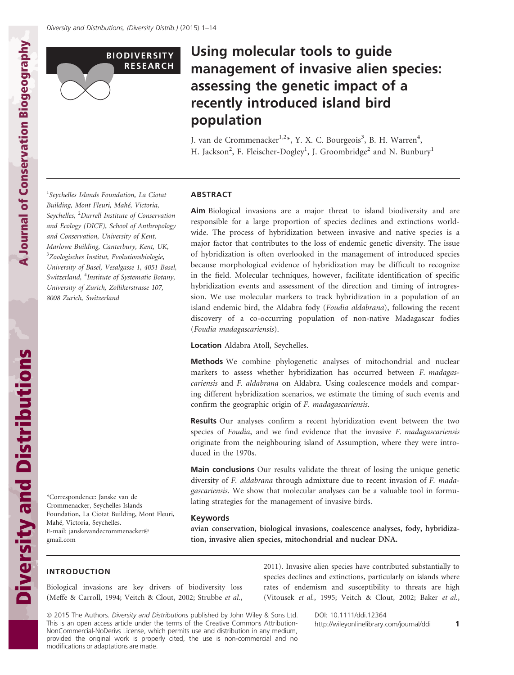

## Using molecular tools to guide management of invasive alien species: assessing the genetic impact of a recently introduced island bird population

J. van de Crommenacker $^{1,2}$ \*, Y. X. C. Bourgeois $^3$ , B. H. Warren $^4$ , H. Jackson<sup>2</sup>, F. Fleischer-Dogley<sup>1</sup>, J. Groombridge<sup>2</sup> and N. Bunbury<sup>1</sup>

1 *Seychelles Islands Foundation, La Ciotat Building, Mont Fleuri, Mahe, Victoria, Seychelles,* <sup>2</sup>*Durrell Institute of Conservation and Ecology (DICE), School of Anthropology and Conservation, University of Kent, Marlowe Building, Canterbury, Kent, UK,* 3 *Zoologisches Institut, Evolutionsbiologie, University of Basel, Vesalgasse 1, 4051 Basel, Switzerland,* <sup>4</sup> *Institute of Systematic Botany, University of Zurich, Zollikerstrasse 107, 8008 Zurich, Switzerland*

#### ABSTRACT

Aim Biological invasions are a major threat to island biodiversity and are responsible for a large proportion of species declines and extinctions worldwide. The process of hybridization between invasive and native species is a major factor that contributes to the loss of endemic genetic diversity. The issue of hybridization is often overlooked in the management of introduced species because morphological evidence of hybridization may be difficult to recognize in the field. Molecular techniques, however, facilitate identification of specific hybridization events and assessment of the direction and timing of introgression. We use molecular markers to track hybridization in a population of an island endemic bird, the Aldabra fody (*Foudia aldabrana*), following the recent discovery of a co-occurring population of non-native Madagascar fodies (*Foudia madagascariensis*).

Location Aldabra Atoll, Seychelles.

Methods We combine phylogenetic analyses of mitochondrial and nuclear markers to assess whether hybridization has occurred between *F. madagascariensis* and *F. aldabrana* on Aldabra. Using coalescence models and comparing different hybridization scenarios, we estimate the timing of such events and confirm the geographic origin of *F. madagascariensis*.

Results Our analyses confirm a recent hybridization event between the two species of *Foudia*, and we find evidence that the invasive *F. madagascariensis* originate from the neighbouring island of Assumption, where they were introduced in the 1970s.

Main conclusions Our results validate the threat of losing the unique genetic diversity of *F. aldabrana* through admixture due to recent invasion of *F. madagascariensis*. We show that molecular analyses can be a valuable tool in formulating strategies for the management of invasive birds.

#### Keywords

avian conservation, biological invasions, coalescence analyses, fody, hybridization, invasive alien species, mitochondrial and nuclear DNA.

#### INTRODUCTION

gmail.com

\*Correspondence: Janske van de Crommenacker, Seychelles Islands

Mahe, Victoria, Seychelles. E-mail: janskevandecrommenacker@

Foundation, La Ciotat Building, Mont Fleuri,

Biological invasions are key drivers of biodiversity loss (Meffe & Carroll, 1994; Veitch & Clout, 2002; Strubbe *et al.*, 2011). Invasive alien species have contributed substantially to species declines and extinctions, particularly on islands where rates of endemism and susceptibility to threats are high (Vitousek *et al.*, 1995; Veitch & Clout, 2002; Baker *et al.*,

ª 2015 The Authors. Diversity and Distributions published by John Wiley & Sons Ltd. DOI: 10.1111/ddi.12364 This is an open access article under the terms of the [Creative Commons Attribution-](http://www.fluxus-engineering.com)<br>
1 [NonCommercial-NoDerivs](http://www.fluxus-engineering.com) License, which permits use and distribution in any medium, provided the original work is properly cited, the use is non-commercial and no modifications or adaptations are made.

A Journal of Conservation Biogeography

**A Journal of Conservation Biogeography**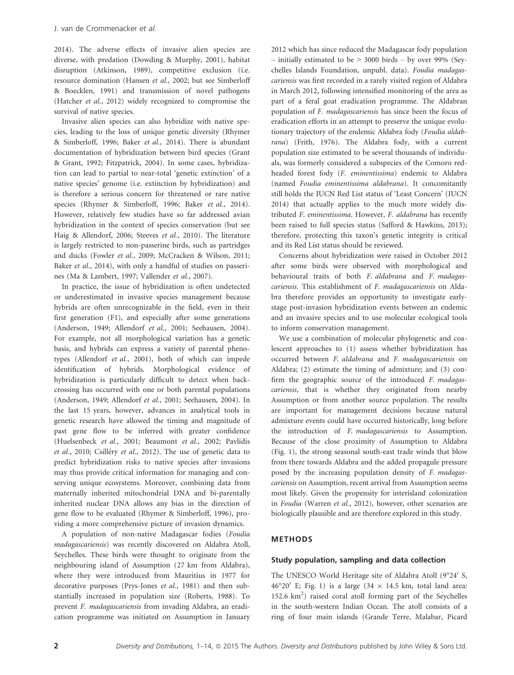2014). The adverse effects of invasive alien species are diverse, with predation (Dowding & Murphy, 2001), habitat disruption (Atkinson, 1989), competitive exclusion (i.e. resource domination (Hansen *et al.*, 2002; but see Simberloff & Boecklen, 1991) and transmission of novel pathogens (Hatcher *et al.*, 2012) widely recognized to compromise the survival of native species.

Invasive alien species can also hybridize with native species, leading to the loss of unique genetic diversity (Rhymer & Simberloff, 1996; Baker *et al.*, 2014). There is abundant documentation of hybridization between bird species (Grant & Grant, 1992; Fitzpatrick, 2004). In some cases, hybridization can lead to partial to near-total 'genetic extinction' of a native species' genome (i.e. extinction by hybridization) and is therefore a serious concern for threatened or rare native species (Rhymer & Simberloff, 1996; Baker *et al.*, 2014). However, relatively few studies have so far addressed avian hybridization in the context of species conservation (but see Haig & Allendorf, 2006; Steeves *et al.*, 2010). The literature is largely restricted to non-passerine birds, such as partridges and ducks (Fowler *et al.*, 2009; McCracken & Wilson, 2011; Baker *et al.*, 2014), with only a handful of studies on passerines (Ma & Lambert, 1997; Vallender *et al.*, 2007).

In practice, the issue of hybridization is often undetected or underestimated in invasive species management because hybrids are often unrecognizable in the field, even in their first generation (F1), and especially after some generations (Anderson, 1949; Allendorf *et al.*, 2001; Seehausen, 2004). For example, not all morphological variation has a genetic basis, and hybrids can express a variety of parental phenotypes (Allendorf *et al.*, 2001), both of which can impede identification of hybrids. Morphological evidence of hybridization is particularly difficult to detect when backcrossing has occurred with one or both parental populations (Anderson, 1949; Allendorf *et al.*, 2001; Seehausen, 2004). In the last 15 years, however, advances in analytical tools in genetic research have allowed the timing and magnitude of past gene flow to be inferred with greater confidence (Huelsenbeck *et al.*, 2001; Beaumont *et al.*, 2002; Pavlidis *et al.*, 2010; Csilléry *et al.*, 2012). The use of genetic data to predict hybridization risks to native species after invasions may thus provide critical information for managing and conserving unique ecosystems. Moreover, combining data from maternally inherited mitochondrial DNA and bi-parentally inherited nuclear DNA allows any bias in the direction of gene flow to be evaluated (Rhymer & Simberloff, 1996), providing a more comprehensive picture of invasion dynamics.

A population of non-native Madagascar fodies (*Foudia madagascariensis*) was recently discovered on Aldabra Atoll, Seychelles. These birds were thought to originate from the neighbouring island of Assumption (27 km from Aldabra), where they were introduced from Mauritius in 1977 for decorative purposes (Prys-Jones *et al.*, 1981) and then substantially increased in population size (Roberts, 1988). To prevent *F. madagascariensis* from invading Aldabra, an eradication programme was initiated on Assumption in January 2012 which has since reduced the Madagascar fody population – initially estimated to be > 3000 birds – by over 99% (Seychelles Islands Foundation, unpubl. data). *Foudia madagascariensis* was first recorded in a rarely visited region of Aldabra in March 2012, following intensified monitoring of the area as part of a feral goat eradication programme. The Aldabran population of *F. madagascariensis* has since been the focus of eradication efforts in an attempt to preserve the unique evolutionary trajectory of the endemic Aldabra fody (*Foudia aldabrana*) (Frith, 1976). The Aldabra fody, with a current population size estimated to be several thousands of individuals, was formerly considered a subspecies of the Comoro redheaded forest fody (*F. eminentissima*) endemic to Aldabra (named *Foudia eminentissima aldabrana*). It concomitantly still holds the IUCN Red List status of 'Least Concern' (IUCN 2014) that actually applies to the much more widely distributed *F*. *eminentissima*. However, *F. aldabrana* has recently been raised to full species status (Safford & Hawkins, 2013); therefore, protecting this taxon's genetic integrity is critical and its Red List status should be reviewed.

Concerns about hybridization were raised in October 2012 after some birds were observed with morphological and behavioural traits of both *F. aldabrana* and *F. madagascariensis*. This establishment of *F. madagascariensis* on Aldabra therefore provides an opportunity to investigate earlystage post-invasion hybridization events between an endemic and an invasive species and to use molecular ecological tools to inform conservation management.

We use a combination of molecular phylogenetic and coalescent approaches to (1) assess whether hybridization has occurred between *F. aldabrana* and *F. madagascariensis* on Aldabra; (2) estimate the timing of admixture; and (3) confirm the geographic source of the introduced *F. madagascariensis*, that is whether they originated from nearby Assumption or from another source population. The results are important for management decisions because natural admixture events could have occurred historically, long before the introduction of *F. madagascariensis* to Assumption. Because of the close proximity of Assumption to Aldabra (Fig. 1), the strong seasonal south-east trade winds that blow from there towards Aldabra and the added propagule pressure posed by the increasing population density of *F. madagascariensis* on Assumption, recent arrival from Assumption seems most likely. Given the propensity for interisland colonization in *Foudia* (Warren *et al.*, 2012), however, other scenarios are biologically plausible and are therefore explored in this study.

#### METHODS

#### Study population, sampling and data collection

The UNESCO World Heritage site of Aldabra Atoll (9°24' S, 46°20′ E; Fig. 1) is a large (34  $\times$  14.5 km, total land area: 152.6 km<sup>2</sup>) raised coral atoll forming part of the Seychelles in the south-western Indian Ocean. The atoll consists of a ring of four main islands (Grande Terre, Malabar, Picard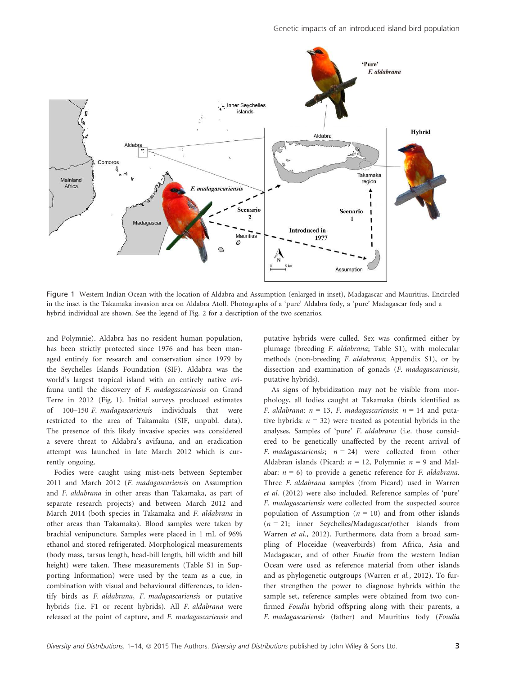

Figure 1 Western Indian Ocean with the location of Aldabra and Assumption (enlarged in inset), Madagascar and Mauritius. Encircled in the inset is the Takamaka invasion area on Aldabra Atoll. Photographs of a 'pure' Aldabra fody, a 'pure' Madagascar fody and a hybrid individual are shown. See the legend of Fig. 2 for a description of the two scenarios.

and Polymnie). Aldabra has no resident human population, has been strictly protected since 1976 and has been managed entirely for research and conservation since 1979 by the Seychelles Islands Foundation (SIF). Aldabra was the world's largest tropical island with an entirely native avifauna until the discovery of *F. madagascariensis* on Grand Terre in 2012 (Fig. 1). Initial surveys produced estimates of 100–150 *F. madagascariensis* individuals that were restricted to the area of Takamaka (SIF, unpubl. data). The presence of this likely invasive species was considered a severe threat to Aldabra's avifauna, and an eradication attempt was launched in late March 2012 which is currently ongoing.

Fodies were caught using mist-nets between September 2011 and March 2012 (*F. madagascariensis* on Assumption and *F. aldabrana* in other areas than Takamaka, as part of separate research projects) and between March 2012 and March 2014 (both species in Takamaka and *F. aldabrana* in other areas than Takamaka). Blood samples were taken by brachial venipuncture. Samples were placed in 1 mL of 96% ethanol and stored refrigerated. Morphological measurements (body mass, tarsus length, head-bill length, bill width and bill height) were taken. These measurements (Table S1 in Supporting Information) were used by the team as a cue, in combination with visual and behavioural differences, to identify birds as *F. aldabrana*, *F. madagascariensis* or putative hybrids (i.e. F1 or recent hybrids). All *F. aldabrana* were released at the point of capture, and *F. madagascariensis* and putative hybrids were culled. Sex was confirmed either by plumage (breeding *F. aldabrana*; Table S1), with molecular methods (non-breeding *F. aldabrana*; Appendix S1), or by dissection and examination of gonads (*F. madagascariensis*, putative hybrids).

As signs of hybridization may not be visible from morphology, all fodies caught at Takamaka (birds identified as *F. aldabrana*:  $n = 13$ , *F. madagascariensis*:  $n = 14$  and putative hybrids:  $n = 32$ ) were treated as potential hybrids in the analyses. Samples of 'pure' *F. aldabrana* (i.e. those considered to be genetically unaffected by the recent arrival of *F. madagascariensis*; *n* = 24) were collected from other Aldabran islands (Picard:  $n = 12$ , Polymnie:  $n = 9$  and Malabar: *n* = 6) to provide a genetic reference for *F. aldabrana*. Three *F. aldabrana* samples (from Picard) used in Warren *et al.* (2012) were also included. Reference samples of 'pure' *F. madagascariensis* were collected from the suspected source population of Assumption  $(n = 10)$  and from other islands (*n* = 21; inner Seychelles/Madagascar/other islands from Warren *et al.*, 2012). Furthermore, data from a broad sampling of Ploceidae (weaverbirds) from Africa, Asia and Madagascar, and of other *Foudia* from the western Indian Ocean were used as reference material from other islands and as phylogenetic outgroups (Warren *et al.*, 2012). To further strengthen the power to diagnose hybrids within the sample set, reference samples were obtained from two confirmed *Foudia* hybrid offspring along with their parents, a *F. madagascariensis* (father) and Mauritius fody (*Foudia*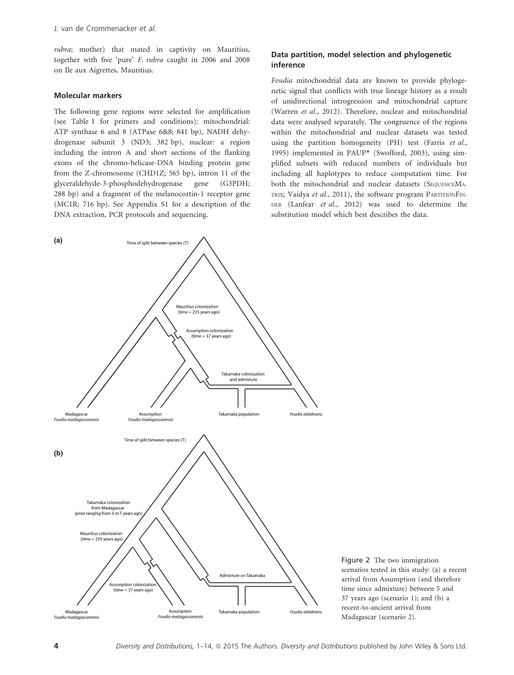*rubra*; mother) that mated in captivity on Mauritius, together with five 'pure' *F. rubra* caught in 2006 and 2008 on Ile aux Aigrettes, Mauritius.

#### Molecular markers

The following gene regions were selected for amplification (see Table 1 for primers and conditions): mitochondrial: ATP synthase 6 and 8 (ATPase 6&8; 841 bp), NADH dehydrogenase subunit 3 (ND3; 382 bp), nuclear: a region including the intron A and short sections of the flanking exons of the chromo-helicase-DNA binding protein gene from the Z-chromosome (CHD1Z; 565 bp), intron 11 of the glyceraldehyde-3-phosphodehydrogenase gene (G3PDH; 288 bp) and a fragment of the melanocortin-1 receptor gene (MC1R; 716 bp). See Appendix S1 for a description of the DNA extraction, PCR protocols and sequencing.

#### Data partition, model selection and phylogenetic inference

*Foudia* mitochondrial data are known to provide phylogenetic signal that conflicts with true lineage history as a result of unidirectional introgression and mitochondrial capture (Warren *et al.*, 2012). Therefore, nuclear and mitochondrial data were analysed separately. The congruence of the regions within the mitochondrial and nuclear datasets was tested using the partition homogeneity (PH) test (Farris *et al.*, 1995) implemented in PAUP\* (Swofford, 2003), using simplified subsets with reduced numbers of individuals but including all haplotypes to reduce computation time. For both the mitochondrial and nuclear datasets (SEQUENCEMA-TRIX; Vaidya et al., 2011), the software program PARTITIONFIN-DER (Lanfear *et al.*, 2012) was used to determine the substitution model which best describes the data.



Figure 2 The two immigration scenarios tested in this study: (a) a recent arrival from Assumption (and therefore time since admixture) between 5 and 37 years ago (scenario 1); and (b) a recent-to-ancient arrival from Madagascar (scenario 2).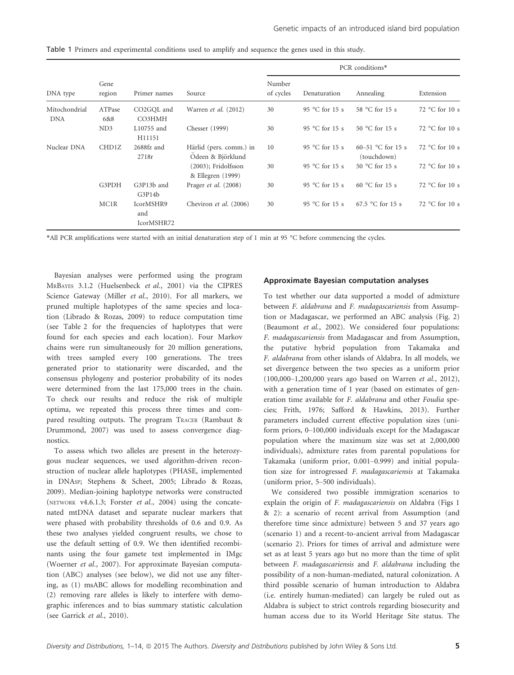|  | Table 1 Primers and experimental conditions used to amplify and sequence the genes used in this study. |  |  |  |  |
|--|--------------------------------------------------------------------------------------------------------|--|--|--|--|
|  |                                                                                                        |  |  |  |  |

|                             |                |                                |                                              | PCR conditions*     |                |                                  |                |  |
|-----------------------------|----------------|--------------------------------|----------------------------------------------|---------------------|----------------|----------------------------------|----------------|--|
| DNA type                    | Gene<br>region | Primer names                   | Source                                       | Number<br>of cycles | Denaturation   | Annealing                        | Extension      |  |
| Mitochondrial<br><b>DNA</b> | ATPase<br>6&8  | CO2GOL and<br>CO3HMH           | Warren et al. (2012)                         | 30                  | 95 °C for 15 s | 58 °C for 15 s                   | 72 °C for 10 s |  |
|                             | ND3            | L10755 and<br>H11151           | Chesser (1999)                               | 30                  | 95 °C for 15 s | $50^{\circ}$ C for 15 s          | 72 °C for 10 s |  |
| Nuclear DNA                 | CHD1Z          | 2688fz and<br>2718r            | Härlid (pers. comm.) in<br>Ödeen & Björklund | 10                  | 95 °C for 15 s | 60–51 °C for 15 s<br>(touchdown) | 72 °C for 10 s |  |
|                             |                |                                | $(2003)$ ; Fridolfsson<br>& Ellegren (1999)  | 30                  | 95 °C for 15 s | $50^{\circ}$ C for 15 s          | 72 °C for 10 s |  |
|                             | G3PDH          | G3P13b and<br>G3P14b           | Prager et al. (2008)                         | 30                  | 95 °C for 15 s | 60 °C for 15 s                   | 72 °C for 10 s |  |
|                             | MC1R           | IcorMSHR9<br>and<br>IcorMSHR72 | Cheviron et al. (2006)                       | 30                  | 95 °C for 15 s | 67.5 $\degree$ C for 15 s        | 72 °C for 10 s |  |

\*All PCR amplifications were started with an initial denaturation step of 1 min at 95 °C before commencing the cycles.

Bayesian analyses were performed using the program MRBAYES 3.1.2 (Huelsenbeck *et al.*, 2001) via the CIPRES Science Gateway (Miller *et al.*, 2010). For all markers, we pruned multiple haplotypes of the same species and location (Librado & Rozas, 2009) to reduce computation time (see Table 2 for the frequencies of haplotypes that were found for each species and each location). Four Markov chains were run simultaneously for 20 million generations, with trees sampled every 100 generations. The trees generated prior to stationarity were discarded, and the consensus phylogeny and posterior probability of its nodes were determined from the last 175,000 trees in the chain. To check our results and reduce the risk of multiple optima, we repeated this process three times and compared resulting outputs. The program TRACER (Rambaut & Drummond, 2007) was used to assess convergence diagnostics.

To assess which two alleles are present in the heterozygous nuclear sequences, we used algorithm-driven reconstruction of nuclear allele haplotypes (PHASE, implemented in DNASP; Stephens & Scheet, 2005; Librado & Rozas, 2009). Median-joining haplotype networks were constructed (NETWORK v4.6.1.3; Forster *et al.*, 2004) using the concatenated mtDNA dataset and separate nuclear markers that were phased with probability thresholds of 0.6 and 0.9. As these two analyses yielded congruent results, we chose to use the default setting of 0.9. We then identified recombinants using the four gamete test implemented in IMgc (Woerner *et al.*, 2007). For approximate Bayesian computation (ABC) analyses (see below), we did not use any filtering, as (1) msABC allows for modelling recombination and (2) removing rare alleles is likely to interfere with demographic inferences and to bias summary statistic calculation (see Garrick *et al.*, 2010).

#### Approximate Bayesian computation analyses

To test whether our data supported a model of admixture between *F. aldabrana* and *F. madagascariensis* from Assumption or Madagascar, we performed an ABC analysis (Fig. 2) (Beaumont *et al.*, 2002). We considered four populations: *F. madagascariensis* from Madagascar and from Assumption, the putative hybrid population from Takamaka and *F. aldabrana* from other islands of Aldabra. In all models, we set divergence between the two species as a uniform prior (100,000–1,200,000 years ago based on Warren *et al.*, 2012), with a generation time of 1 year (based on estimates of generation time available for *F. aldabrana* and other *Foudia* species; Frith, 1976; Safford & Hawkins, 2013). Further parameters included current effective population sizes (uniform priors, 0–100,000 individuals except for the Madagascar population where the maximum size was set at 2,000,000 individuals), admixture rates from parental populations for Takamaka (uniform prior, 0.001–0.999) and initial population size for introgressed *F. madagascariensis* at Takamaka (uniform prior, 5–500 individuals).

We considered two possible immigration scenarios to explain the origin of *F. madagascariensis* on Aldabra (Figs 1 & 2): a scenario of recent arrival from Assumption (and therefore time since admixture) between 5 and 37 years ago (scenario 1) and a recent-to-ancient arrival from Madagascar (scenario 2). Priors for times of arrival and admixture were set as at least 5 years ago but no more than the time of split between *F. madagascariensis* and *F. aldabrana* including the possibility of a non-human-mediated, natural colonization. A third possible scenario of human introduction to Aldabra (i.e. entirely human-mediated) can largely be ruled out as Aldabra is subject to strict controls regarding biosecurity and human access due to its World Heritage Site status. The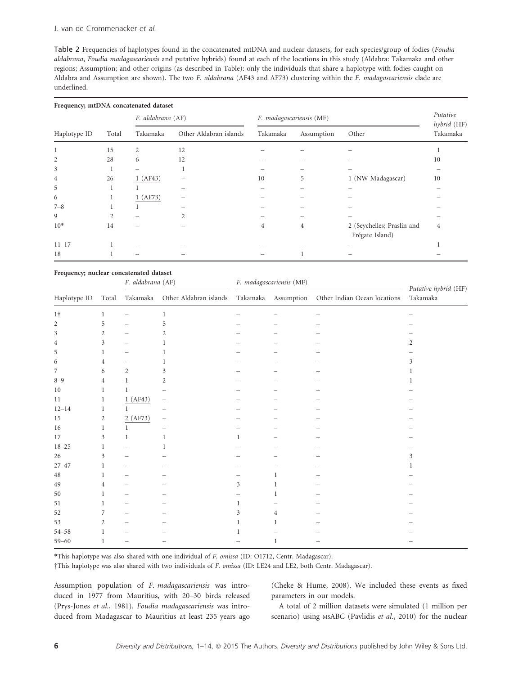Table 2 Frequencies of haplotypes found in the concatenated mtDNA and nuclear datasets, for each species/group of fodies (*Foudia aldabrana*, *Foudia madagascariensis* and putative hybrids) found at each of the locations in this study (Aldabra: Takamaka and other regions; Assumption; and other origins (as described in Table): only the individuals that share a haplotype with fodies caught on Aldabra and Assumption are shown). The two *F. aldabrana* (AF43 and AF73) clustering within the *F. madagascariensis* clade are underlined.

| Frequency; mtDNA concatenated dataset |                |                          |                          |                          |                         |                                               |                                                                           |  |  |
|---------------------------------------|----------------|--------------------------|--------------------------|--------------------------|-------------------------|-----------------------------------------------|---------------------------------------------------------------------------|--|--|
|                                       |                | F. aldabrana (AF)        |                          | F. madagascariensis (MF) | Putative<br>hybrid (HF) |                                               |                                                                           |  |  |
| Haplotype ID                          | Total          | Takamaka                 | Other Aldabran islands   | Takamaka                 | Assumption              | Other                                         | Takamaka                                                                  |  |  |
|                                       | 15             | 2                        | 12                       |                          |                         |                                               |                                                                           |  |  |
| 2                                     | 28             | 6                        | 12                       |                          |                         |                                               | 10                                                                        |  |  |
| 3                                     |                | $\overline{\phantom{a}}$ |                          |                          |                         |                                               | $\hspace{1.0cm} \rule{1.5cm}{0.15cm} \hspace{1.0cm} \rule{1.5cm}{0.15cm}$ |  |  |
| $\overline{4}$                        | 26             | 1(AF43)                  | $\overline{\phantom{0}}$ | 10                       | 5                       | 1 (NW Madagascar)                             | 10                                                                        |  |  |
| 5                                     |                |                          |                          |                          |                         |                                               |                                                                           |  |  |
| 6                                     |                | 1(AF73)                  |                          |                          |                         |                                               |                                                                           |  |  |
| $7 - 8$                               |                |                          |                          |                          |                         |                                               |                                                                           |  |  |
| 9                                     | $\overline{2}$ |                          | $\overline{c}$           |                          |                         |                                               |                                                                           |  |  |
| $10*$                                 | 14             |                          |                          | 4                        | 4                       | 2 (Seychelles; Praslin and<br>Frégate Island) | $\overline{4}$                                                            |  |  |
| $11 - 17$                             |                |                          |                          |                          |                         |                                               | J.                                                                        |  |  |
| 18                                    |                |                          |                          |                          |                         |                                               |                                                                           |  |  |

| Frequency; nuclear concatenated dataset |                |                          |                        |                          |                      |                              |          |  |  |
|-----------------------------------------|----------------|--------------------------|------------------------|--------------------------|----------------------|------------------------------|----------|--|--|
|                                         |                | F. aldabrana (AF)        |                        | F. madagascariensis (MF) | Putative hybrid (HF) |                              |          |  |  |
| Haplotype ID                            | Total          | Takamaka                 | Other Aldabran islands | Takamaka                 | Assumption           | Other Indian Ocean locations | Takamaka |  |  |
| $1\dagger$                              | 1              |                          | $\mathbf 1$            |                          |                      |                              |          |  |  |
| 2                                       | 5              | $\overline{\phantom{0}}$ | 5                      |                          |                      |                              |          |  |  |
| 3                                       | $\mathfrak{2}$ | -                        | $\overline{c}$         |                          |                      |                              |          |  |  |
| $\overline{4}$                          | 3              |                          |                        |                          |                      |                              | 2        |  |  |
| 5                                       | 1              | -                        |                        |                          |                      |                              |          |  |  |
| 6                                       | $\overline{4}$ | $\overline{\phantom{0}}$ |                        |                          |                      |                              | 3        |  |  |
| 7                                       | 6              | $\mathbf{2}$             | 3                      |                          |                      |                              |          |  |  |
| $8 - 9$                                 | $\,4$          | $\mathbf{1}$             | 2                      |                          |                      |                              |          |  |  |
| $10\,$                                  | 1              | 1                        |                        |                          |                      |                              |          |  |  |
| 11                                      | 1              | 1(AF43)                  |                        |                          |                      |                              |          |  |  |
| $12 - 14$                               | 1              | $\mathbf{1}$             |                        |                          |                      |                              |          |  |  |
| $15\,$                                  | $\mathbf{2}$   | 2 (AF73)                 |                        |                          |                      |                              |          |  |  |
| 16                                      | 1              | $\mathbf{1}$             |                        |                          |                      |                              |          |  |  |
| 17                                      | 3              | $\mathbf{1}$             | 1                      | 1                        |                      |                              |          |  |  |
| $18 - 25$                               | 1              | $\overline{\phantom{0}}$ | 1                      |                          |                      |                              |          |  |  |
| 26                                      | 3              |                          |                        |                          |                      |                              | 3        |  |  |
| $27 - 47$                               | $\mathbf{1}$   |                          |                        |                          |                      |                              | 1        |  |  |
| 48                                      | 1              |                          |                        |                          | 1                    |                              |          |  |  |
| 49                                      | $\overline{4}$ |                          |                        | 3                        | $\mathbf{1}$         |                              |          |  |  |
| 50                                      | 1              |                          |                        |                          | 1                    |                              |          |  |  |
| 51                                      | 1              |                          |                        | $\mathbf{1}$             |                      |                              |          |  |  |
| 52                                      | 7              |                          |                        | 3                        | $\overline{4}$       |                              |          |  |  |
| 53                                      | $\mathfrak{2}$ |                          |                        | $\mathbf 1$              | $\mathbf{1}$         |                              |          |  |  |
| $54 - 58$                               | $\mathbf{1}$   |                          |                        | 1                        |                      |                              |          |  |  |
| $59 - 60$                               | 1              |                          |                        |                          | $\mathbf{1}$         |                              |          |  |  |

\*This haplotype was also shared with one individual of *F. omissa* (ID: O1712, Centr. Madagascar).

†This haplotype was also shared with two individuals of *F. omissa* (ID: LE24 and LE2, both Centr. Madagascar).

Assumption population of *F. madagascariensis* was introduced in 1977 from Mauritius, with 20–30 birds released (Prys-Jones *et al.*, 1981). *Foudia madagascariensis* was introduced from Madagascar to Mauritius at least 235 years ago (Cheke & Hume, 2008). We included these events as fixed parameters in our models.

A total of 2 million datasets were simulated (1 million per scenario) using MSABC (Pavlidis *et al.*, 2010) for the nuclear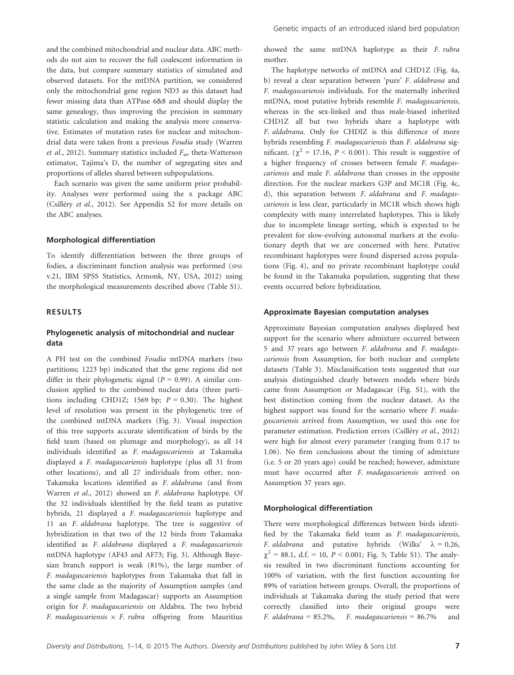and the combined mitochondrial and nuclear data. ABC methods do not aim to recover the full coalescent information in the data, but compare summary statistics of simulated and observed datasets. For the mtDNA partition, we considered only the mitochondrial gene region ND3 as this dataset had fewer missing data than ATPase 6&8 and should display the same genealogy, thus improving the precision in summary statistic calculation and making the analysis more conservative. Estimates of mutation rates for nuclear and mitochondrial data were taken from a previous *Foudia* study (Warren *et al.*, 2012). Summary statistics included  $F<sub>st</sub>$ , theta-Watterson estimator, Tajima's D, the number of segregating sites and proportions of alleles shared between subpopulations.

Each scenario was given the same uniform prior probability. Analyses were performed using the <sup>R</sup> package ABC (Csillery *et al.*, 2012). See Appendix S2 for more details on the ABC analyses.

#### Morphological differentiation

To identify differentiation between the three groups of fodies, a discriminant function analysis was performed (spss) v.21, IBM SPSS Statistics, Armonk, NY, USA, 2012) using the morphological measurements described above (Table S1).

#### RESULTS

#### Phylogenetic analysis of mitochondrial and nuclear data

A PH test on the combined *Foudia* mtDNA markers (two partitions; 1223 bp) indicated that the gene regions did not differ in their phylogenetic signal  $(P = 0.99)$ . A similar conclusion applied to the combined nuclear data (three partitions including CHD1Z; 1569 bp;  $P = 0.30$ ). The highest level of resolution was present in the phylogenetic tree of the combined mtDNA markers (Fig. 3). Visual inspection of this tree supports accurate identification of birds by the field team (based on plumage and morphology), as all 14 individuals identified as *F. madagascariensis* at Takamaka displayed a *F. madagascariensis* haplotype (plus all 31 from other locations), and all 27 individuals from other, non-Takamaka locations identified as *F. aldabrana* (and from Warren *et al.*, 2012) showed an *F. aldabrana* haplotype. Of the 32 individuals identified by the field team as putative hybrids, 21 displayed a *F. madagascariensis* haplotype and 11 an *F. aldabrana* haplotype. The tree is suggestive of hybridization in that two of the 12 birds from Takamaka identified as *F. aldabrana* displayed a *F. madagascariensis* mtDNA haplotype (AF43 and AF73; Fig. 3). Although Bayesian branch support is weak (81%), the large number of *F. madagascariensis* haplotypes from Takamaka that fall in the same clade as the majority of Assumption samples (and a single sample from Madagascar) supports an Assumption origin for *F. madagascariensis* on Aldabra. The two hybrid *F. madagascariensis*  $\times$  *F. rubra* offspring from Mauritius showed the same mtDNA haplotype as their *F. rubra* mother.

The haplotype networks of mtDNA and CHD1Z (Fig. 4a, b) reveal a clear separation between 'pure' *F. aldabrana* and *F. madagascariensis* individuals. For the maternally inherited mtDNA, most putative hybrids resemble *F. madagascariensis*, whereas in the sex-linked and thus male-biased inherited CHD1Z all but two hybrids share a haplotype with *F. aldabrana.* Only for CHDIZ is this difference of more hybrids resembling *F. madagascariensis* than *F. aldabrana* significant. ( $\chi^2 = 17.16$ ,  $P < 0.001$ ). This result is suggestive of a higher frequency of crosses between female *F. madagascariensis* and male *F. aldabrana* than crosses in the opposite direction. For the nuclear markers G3P and MC1R (Fig. 4c, d), this separation between *F. aldabrana* and *F. madagascariensis* is less clear, particularly in MC1R which shows high complexity with many interrelated haplotypes. This is likely due to incomplete lineage sorting, which is expected to be prevalent for slow-evolving autosomal markers at the evolutionary depth that we are concerned with here. Putative recombinant haplotypes were found dispersed across populations (Fig. 4), and no private recombinant haplotype could be found in the Takamaka population, suggesting that these events occurred before hybridization.

#### Approximate Bayesian computation analyses

Approximate Bayesian computation analyses displayed best support for the scenario where admixture occurred between 5 and 37 years ago between *F. aldabrana* and *F. madagascariensis* from Assumption, for both nuclear and complete datasets (Table 3). Misclassification tests suggested that our analysis distinguished clearly between models where birds came from Assumption or Madagascar (Fig. S1), with the best distinction coming from the nuclear dataset. As the highest support was found for the scenario where *F. madagascariensis* arrived from Assumption, we used this one for parameter estimation. Prediction errors (Csilléry et al., 2012) were high for almost every parameter (ranging from 0.17 to 1.06). No firm conclusions about the timing of admixture (i.e. 5 or 20 years ago) could be reached; however, admixture must have occurred after *F. madagascariensis* arrived on Assumption 37 years ago.

#### Morphological differentiation

There were morphological differences between birds identified by the Takamaka field team as *F. madagascariensis*, *F. aldabrana* and putative hybrids (Wilks'  $\lambda = 0.26$ ,  $\chi^2 = 88.1$ , d.f. = 10, *P* < 0.001; Fig. 5; Table S1). The analysis resulted in two discriminant functions accounting for 100% of variation, with the first function accounting for 89% of variation between groups. Overall, the proportions of individuals at Takamaka during the study period that were correctly classified into their original groups were *F. aldabrana* = 85.2%, *F. madagascariensis* = 86.7% and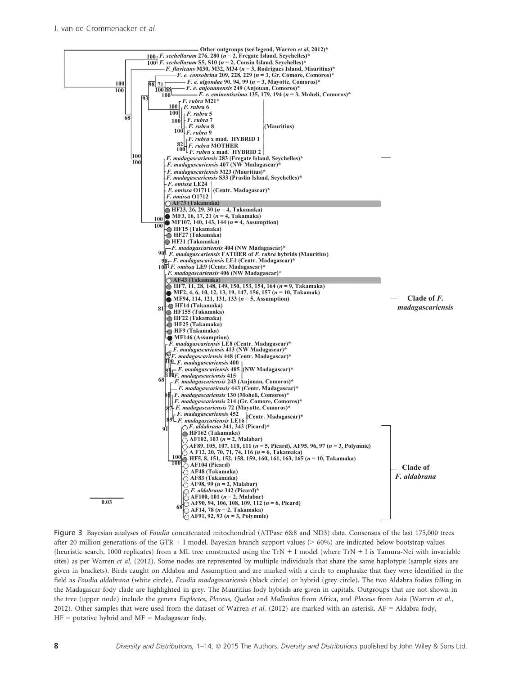

Figure 3 Bayesian analyses of *Foudia* concatenated mitochondrial (ATPase 6&8 and ND3) data. Consensus of the last 175,000 trees after 20 million generations of the GTR + I model. Bayesian branch support values ( $> 60\%$ ) are indicated below bootstrap values (heuristic search, 1000 replicates) from a ML tree constructed using the TrN + I model (where TrN + I is Tamura-Nei with invariable sites) as per Warren *et al.* (2012). Some nodes are represented by multiple individuals that share the same haplotype (sample sizes are given in brackets). Birds caught on Aldabra and Assumption and are marked with a circle to emphasize that they were identified in the field as *Foudia aldabrana* (white circle), *Foudia madagascariensis* (black circle) or hybrid (grey circle). The two Aldabra fodies falling in the Madagascar fody clade are highlighted in grey. The Mauritius fody hybrids are given in capitals. Outgroups that are not shown in the tree (upper node) include the genera *Euplectes*, *Ploceus, Quelea* and *Malimbus* from Africa, and *Ploceus* from Asia (Warren *et al.*, 2012). Other samples that were used from the dataset of Warren *et al.* (2012) are marked with an asterisk. AF = Aldabra fody,  $HF =$  putative hybrid and  $MF =$  Madagascar fody.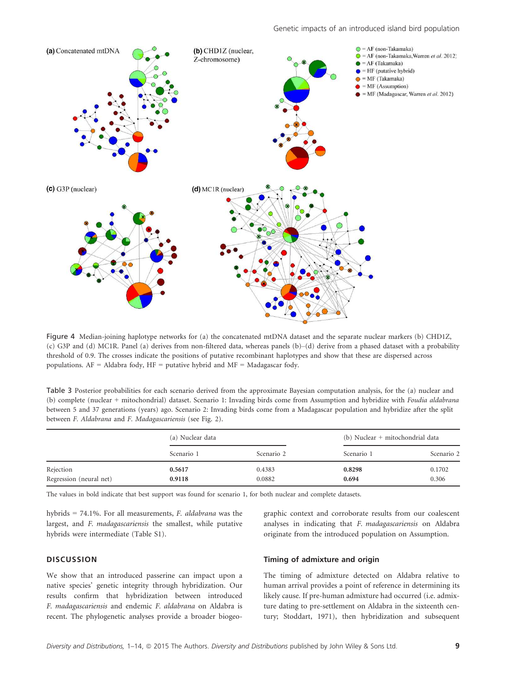

Figure 4 Median-joining haplotype networks for (a) the concatenated mtDNA dataset and the separate nuclear markers (b) CHD1Z, (c) G3P and (d) MC1R. Panel (a) derives from non-filtered data, whereas panels (b)–(d) derive from a phased dataset with a probability threshold of 0.9. The crosses indicate the positions of putative recombinant haplotypes and show that these are dispersed across populations.  $AF = Aldabra$  fody,  $HF = putative$  hybrid and  $MF = Madagascar$  fody.

| Table 3 Posterior probabilities for each scenario derived from the approximate Bayesian computation analysis, for the (a) nuclear and |
|---------------------------------------------------------------------------------------------------------------------------------------|
| (b) complete (nuclear + mitochondrial) dataset. Scenario 1: Invading birds come from Assumption and hybridize with Foudia aldabrana   |
| between 5 and 37 generations (years) ago. Scenario 2: Invading birds come from a Madagascar population and hybridize after the split  |
| between F. Aldabrana and F. Madagascariensis (see Fig. 2).                                                                            |

|                         | (a) Nuclear data |            |            | (b) Nuclear + mitochondrial data |  |
|-------------------------|------------------|------------|------------|----------------------------------|--|
|                         | Scenario 1       | Scenario 2 | Scenario 1 | Scenario 2                       |  |
| Rejection               | 0.5617           | 0.4383     | 0.8298     | 0.1702                           |  |
| Regression (neural net) | 0.9118           | 0.0882     | 0.694      | 0.306                            |  |

The values in bold indicate that best support was found for scenario 1, for both nuclear and complete datasets.

hybrids = 74.1%. For all measurements, *F. aldabrana* was the largest, and *F. madagascariensis* the smallest, while putative hybrids were intermediate (Table S1).

#### **DISCUSSION**

We show that an introduced passerine can impact upon a native species' genetic integrity through hybridization. Our results confirm that hybridization between introduced *F. madagascariensis* and endemic *F. aldabrana* on Aldabra is recent. The phylogenetic analyses provide a broader biogeographic context and corroborate results from our coalescent analyses in indicating that *F. madagascariensis* on Aldabra originate from the introduced population on Assumption.

#### Timing of admixture and origin

The timing of admixture detected on Aldabra relative to human arrival provides a point of reference in determining its likely cause. If pre-human admixture had occurred (i.e. admixture dating to pre-settlement on Aldabra in the sixteenth century; Stoddart, 1971), then hybridization and subsequent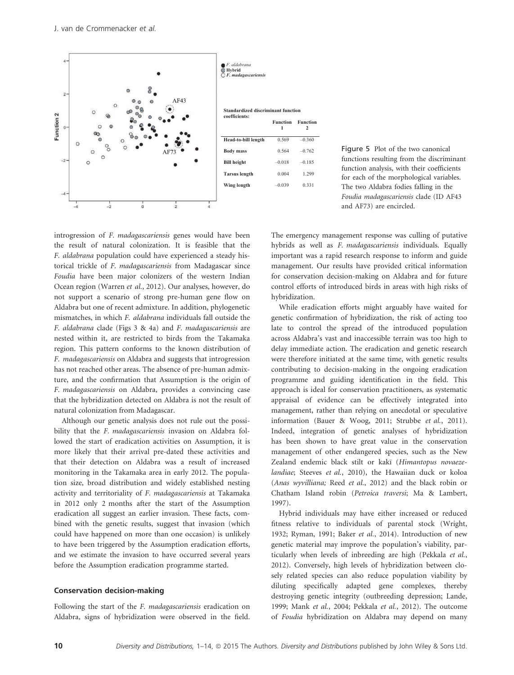J. van de Crommenacker et al.







introgression of *F. madagascariensis* genes would have been the result of natural colonization. It is feasible that the *F. aldabrana* population could have experienced a steady historical trickle of *F. madagascariensis* from Madagascar since *Foudia* have been major colonizers of the western Indian Ocean region (Warren *et al.*, 2012). Our analyses, however, do not support a scenario of strong pre-human gene flow on Aldabra but one of recent admixture. In addition, phylogenetic mismatches, in which *F. aldabrana* individuals fall outside the *F. aldabrana* clade (Figs 3 & 4a) and *F. madagascariensis* are nested within it, are restricted to birds from the Takamaka region. This pattern conforms to the known distribution of *F. madagascariensis* on Aldabra and suggests that introgression has not reached other areas. The absence of pre-human admixture, and the confirmation that Assumption is the origin of *F. madagascariensis* on Aldabra, provides a convincing case that the hybridization detected on Aldabra is not the result of natural colonization from Madagascar.

Although our genetic analysis does not rule out the possibility that the *F. madagascariensis* invasion on Aldabra followed the start of eradication activities on Assumption, it is more likely that their arrival pre-dated these activities and that their detection on Aldabra was a result of increased monitoring in the Takamaka area in early 2012. The population size, broad distribution and widely established nesting activity and territoriality of *F. madagascariensis* at Takamaka in 2012 only 2 months after the start of the Assumption eradication all suggest an earlier invasion. These facts, combined with the genetic results, suggest that invasion (which could have happened on more than one occasion) is unlikely to have been triggered by the Assumption eradication efforts, and we estimate the invasion to have occurred several years before the Assumption eradication programme started.

#### Conservation decision-making

Following the start of the *F. madagascariensis* eradication on Aldabra, signs of hybridization were observed in the field. The emergency management response was culling of putative hybrids as well as *F. madagascariensis* individuals. Equally important was a rapid research response to inform and guide management. Our results have provided critical information for conservation decision-making on Aldabra and for future control efforts of introduced birds in areas with high risks of hybridization.

While eradication efforts might arguably have waited for genetic confirmation of hybridization, the risk of acting too late to control the spread of the introduced population across Aldabra's vast and inaccessible terrain was too high to delay immediate action. The eradication and genetic research were therefore initiated at the same time, with genetic results contributing to decision-making in the ongoing eradication programme and guiding identification in the field. This approach is ideal for conservation practitioners, as systematic appraisal of evidence can be effectively integrated into management, rather than relying on anecdotal or speculative information (Bauer & Woog, 2011; Strubbe *et al.*, 2011). Indeed, integration of genetic analyses of hybridization has been shown to have great value in the conservation management of other endangered species, such as the New Zealand endemic black stilt or kakı (*Himantopus novaezelandiae*; Steeves *et al.*, 2010), the Hawaiian duck or koloa (*Anas wyvilliana;* Reed *et al.*, 2012) and the black robin or Chatham Island robin (*Petroica traversi*; Ma & Lambert, 1997).

Hybrid individuals may have either increased or reduced fitness relative to individuals of parental stock (Wright, 1932; Ryman, 1991; Baker *et al.*, 2014). Introduction of new genetic material may improve the population's viability, particularly when levels of inbreeding are high (Pekkala *et al.*, 2012). Conversely, high levels of hybridization between closely related species can also reduce population viability by diluting specifically adapted gene complexes, thereby destroying genetic integrity (outbreeding depression; Lande, 1999; Mank *et al.*, 2004; Pekkala *et al.*, 2012). The outcome of *Foudia* hybridization on Aldabra may depend on many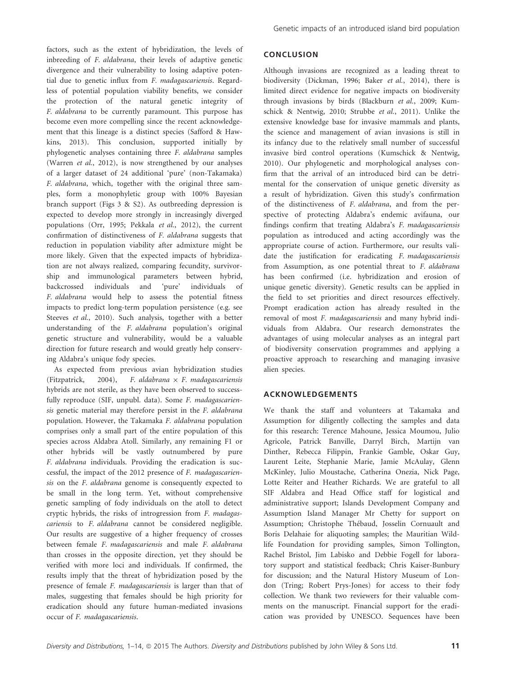factors, such as the extent of hybridization, the levels of inbreeding of *F. aldabrana*, their levels of adaptive genetic divergence and their vulnerability to losing adaptive potential due to genetic influx from *F. madagascariensis*. Regardless of potential population viability benefits, we consider the protection of the natural genetic integrity of *F. aldabrana* to be currently paramount. This purpose has become even more compelling since the recent acknowledgement that this lineage is a distinct species (Safford & Hawkins, 2013). This conclusion, supported initially by phylogenetic analyses containing three *F. aldabrana* samples (Warren *et al.*, 2012), is now strengthened by our analyses of a larger dataset of 24 additional 'pure' (non-Takamaka) *F. aldabrana*, which, together with the original three samples, form a monophyletic group with 100% Bayesian branch support (Figs 3 & S2). As outbreeding depression is expected to develop more strongly in increasingly diverged populations (Orr, 1995; Pekkala *et al.*, 2012), the current confirmation of distinctiveness of *F. aldabrana* suggests that reduction in population viability after admixture might be more likely. Given that the expected impacts of hybridization are not always realized, comparing fecundity, survivorship and immunological parameters between hybrid, backcrossed individuals and 'pure' individuals of *F. aldabrana* would help to assess the potential fitness impacts to predict long-term population persistence (e.g. see Steeves *et al.*, 2010). Such analysis, together with a better understanding of the *F. aldabrana* population's original genetic structure and vulnerability, would be a valuable direction for future research and would greatly help conserving Aldabra's unique fody species.

As expected from previous avian hybridization studies (Fitzpatrick, 2004), *F. aldabrana*  $\times$  *F. madagascariensis* hybrids are not sterile, as they have been observed to successfully reproduce (SIF, unpubl. data). Some *F. madagascariensis* genetic material may therefore persist in the *F. aldabrana* population. However, the Takamaka *F. aldabrana* population comprises only a small part of the entire population of this species across Aldabra Atoll. Similarly, any remaining F1 or other hybrids will be vastly outnumbered by pure *F. aldabrana* individuals. Providing the eradication is successful, the impact of the 2012 presence of *F. madagascariensis* on the *F. aldabrana* genome is consequently expected to be small in the long term. Yet, without comprehensive genetic sampling of fody individuals on the atoll to detect cryptic hybrids, the risks of introgression from *F. madagascariensis* to *F. aldabrana* cannot be considered negligible. Our results are suggestive of a higher frequency of crosses between female *F. madagascariensis* and male *F. aldabrana* than crosses in the opposite direction, yet they should be verified with more loci and individuals. If confirmed, the results imply that the threat of hybridization posed by the presence of female *F. madagascariensis* is larger than that of males, suggesting that females should be high priority for eradication should any future human-mediated invasions occur of *F. madagascariensis*.

#### **CONCLUSION**

Although invasions are recognized as a leading threat to biodiversity (Dickman, 1996; Baker *et al.*, 2014), there is limited direct evidence for negative impacts on biodiversity through invasions by birds (Blackburn *et al.*, 2009; Kumschick & Nentwig, 2010; Strubbe *et al.*, 2011). Unlike the extensive knowledge base for invasive mammals and plants, the science and management of avian invasions is still in its infancy due to the relatively small number of successful invasive bird control operations (Kumschick & Nentwig, 2010). Our phylogenetic and morphological analyses confirm that the arrival of an introduced bird can be detrimental for the conservation of unique genetic diversity as a result of hybridization. Given this study's confirmation of the distinctiveness of *F. aldabrana*, and from the perspective of protecting Aldabra's endemic avifauna, our findings confirm that treating Aldabra's *F. madagascariensis* population as introduced and acting accordingly was the appropriate course of action. Furthermore, our results validate the justification for eradicating *F. madagascariensis* from Assumption, as one potential threat to *F. aldabrana* has been confirmed (i.e. hybridization and erosion of unique genetic diversity). Genetic results can be applied in the field to set priorities and direct resources effectively. Prompt eradication action has already resulted in the removal of most *F. madagascariensis* and many hybrid individuals from Aldabra. Our research demonstrates the advantages of using molecular analyses as an integral part of biodiversity conservation programmes and applying a proactive approach to researching and managing invasive alien species.

#### ACKNOWLEDGEMENTS

We thank the staff and volunteers at Takamaka and Assumption for diligently collecting the samples and data for this research: Terence Mahoune, Jessica Moumou, Julio Agricole, Patrick Banville, Darryl Birch, Martijn van Dinther, Rebecca Filippin, Frankie Gamble, Oskar Guy, Laurent Leite, Stephanie Marie, Jamie McAulay, Glenn McKinley, Julio Moustache, Catherina Onezia, Nick Page, Lotte Reiter and Heather Richards. We are grateful to all SIF Aldabra and Head Office staff for logistical and administrative support; Islands Development Company and Assumption Island Manager Mr Chetty for support on Assumption; Christophe Thebaud, Josselin Cornuault and Boris Delahaie for aliquoting samples; the Mauritian Wildlife Foundation for providing samples, Simon Tollington, Rachel Bristol, Jim Labisko and Debbie Fogell for laboratory support and statistical feedback; Chris Kaiser-Bunbury for discussion; and the Natural History Museum of London (Tring; Robert Prys-Jones) for access to their fody collection. We thank two reviewers for their valuable comments on the manuscript. Financial support for the eradication was provided by UNESCO. Sequences have been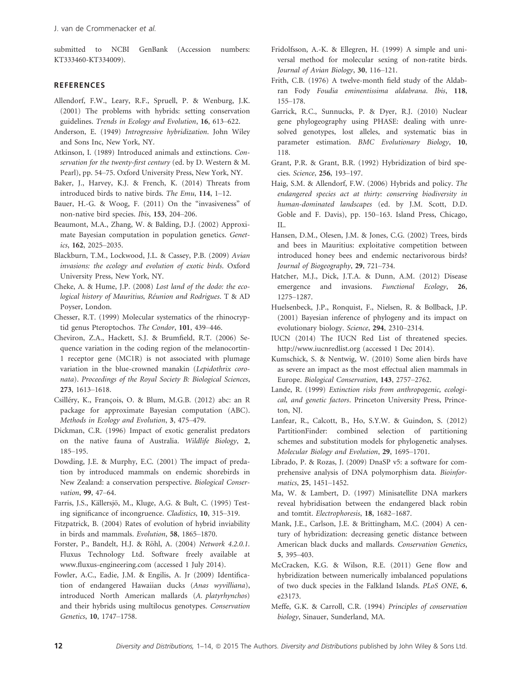submitted to NCBI GenBank (Accession numbers: KT333460-KT334009).

#### **REFERENCES**

- Allendorf, F.W., Leary, R.F., Spruell, P. & Wenburg, J.K. (2001) The problems with hybrids: setting conservation guidelines. *Trends in Ecology and Evolution*, 16, 613–622.
- Anderson, E. (1949) *Introgressive hybridization*. John Wiley and Sons Inc, New York, NY.
- Atkinson, I. (1989) Introduced animals and extinctions. *Conservation for the twenty-first century* (ed. by D. Western & M. Pearl), pp. 54–75. Oxford University Press, New York, NY.
- Baker, J., Harvey, K.J. & French, K. (2014) Threats from introduced birds to native birds. *The Emu*, 114, 1–12.
- Bauer, H.-G. & Woog, F. (2011) On the "invasiveness" of non-native bird species. *Ibis*, 153, 204–206.
- Beaumont, M.A., Zhang, W. & Balding, D.J. (2002) Approximate Bayesian computation in population genetics. *Genetics*, 162, 2025–2035.
- Blackburn, T.M., Lockwood, J.L. & Cassey, P.B. (2009) *Avian invasions: the ecology and evolution of exotic birds*. Oxford University Press, New York, NY.
- Cheke, A. & Hume, J.P. (2008) *Lost land of the dodo: the ecological history of Mauritius, Reunion and Rodrigues*. T & AD Poyser, London.
- Chesser, R.T. (1999) Molecular systematics of the rhinocryptid genus Pteroptochos. *The Condor*, 101, 439–446.
- Cheviron, Z.A., Hackett, S.J. & Brumfield, R.T. (2006) Sequence variation in the coding region of the melanocortin-1 receptor gene (MC1R) is not associated with plumage variation in the blue-crowned manakin (*Lepidothrix coronata*). *Proceedings of the Royal Society B: Biological Sciences*, 273, 1613–1618.
- Csillery, K., Francois, O. & Blum, M.G.B. (2012) abc: an R package for approximate Bayesian computation (ABC). *Methods in Ecology and Evolution*, 3, 475–479.
- Dickman, C.R. (1996) Impact of exotic generalist predators on the native fauna of Australia. *Wildlife Biology*, 2, 185–195.
- Dowding, J.E. & Murphy, E.C. (2001) The impact of predation by introduced mammals on endemic shorebirds in New Zealand: a conservation perspective. *Biological Conservation*, 99, 47–64.
- Farris, J.S., Källersjö, M., Kluge, A.G. & Bult, C. (1995) Testing significance of incongruence. *Cladistics*, 10, 315–319.
- Fitzpatrick, B. (2004) Rates of evolution of hybrid inviability in birds and mammals. *Evolution*, 58, 1865–1870.
- Forster, P., Bandelt, H.J. & Röhl, A. (2004) Network 4.2.0.1. Fluxus Technology Ltd. Software freely available at [www.fluxus-engineering.com](http://www.fluxus-engineering.com) (accessed 1 July 2014).
- Fowler, A.C., Eadie, J.M. & Engilis, A. Jr (2009) Identification of endangered Hawaiian ducks (*Anas wyvilliana*), introduced North American mallards (*A. platyrhynchos*) and their hybrids using multilocus genotypes. *Conservation Genetics*, 10, 1747–1758.
- Fridolfsson, A.-K. & Ellegren, H. (1999) A simple and universal method for molecular sexing of non-ratite birds. *Journal of Avian Biology*, 30, 116–121.
- Frith, C.B. (1976) A twelve-month field study of the Aldabran Fody *Foudia eminentissima aldabrana*. *Ibis*, 118, 155–178.
- Garrick, R.C., Sunnucks, P. & Dyer, R.J. (2010) Nuclear gene phylogeography using PHASE: dealing with unresolved genotypes, lost alleles, and systematic bias in parameter estimation. *BMC Evolutionary Biology*, 10, 118.
- Grant, P.R. & Grant, B.R. (1992) Hybridization of bird species. *Science*, 256, 193–197.
- Haig, S.M. & Allendorf, F.W. (2006) Hybrids and policy. *The endangered species act at thirty: conserving biodiversity in human-dominated landscapes* (ed. by J.M. Scott, D.D. Goble and F. Davis), pp. 150–163. Island Press, Chicago, IL.
- Hansen, D.M., Olesen, J.M. & Jones, C.G. (2002) Trees, birds and bees in Mauritius: exploitative competition between introduced honey bees and endemic nectarivorous birds? *Journal of Biogeography*, 29, 721–734.
- Hatcher, M.J., Dick, J.T.A. & Dunn, A.M. (2012) Disease emergence and invasions. *Functional Ecology*, 26, 1275–1287.
- Huelsenbeck, J.P., Ronquist, F., Nielsen, R. & Bollback, J.P. (2001) Bayesian inference of phylogeny and its impact on evolutionary biology. *Science*, 294, 2310–2314.
- IUCN (2014) The IUCN Red List of threatened species. <http://www.iucnredlist.org> (accessed 1 Dec 2014).
- Kumschick, S. & Nentwig, W. (2010) Some alien birds have as severe an impact as the most effectual alien mammals in Europe. *Biological Conservation*, 143, 2757–2762.
- Lande, R. (1999) *Extinction risks from anthropogenic, ecological, and genetic factors*. Princeton University Press, Princeton, NJ.
- Lanfear, R., Calcott, B., Ho, S.Y.W. & Guindon, S. (2012) PartitionFinder: combined selection of partitioning schemes and substitution models for phylogenetic analyses. *Molecular Biology and Evolution*, 29, 1695–1701.
- Librado, P. & Rozas, J. (2009) DnaSP v5: a software for comprehensive analysis of DNA polymorphism data. *Bioinformatics*, 25, 1451–1452.
- Ma, W. & Lambert, D. (1997) Minisatellite DNA markers reveal hybridisation between the endangered black robin and tomtit. *Electrophoresis*, 18, 1682–1687.
- Mank, J.E., Carlson, J.E. & Brittingham, M.C. (2004) A century of hybridization: decreasing genetic distance between American black ducks and mallards. *Conservation Genetics*, 5, 395–403.
- McCracken, K.G. & Wilson, R.E. (2011) Gene flow and hybridization between numerically imbalanced populations of two duck species in the Falkland Islands. *PLoS ONE*, 6, e23173.
- Meffe, G.K. & Carroll, C.R. (1994) *Principles of conservation biology*, Sinauer, Sunderland, MA.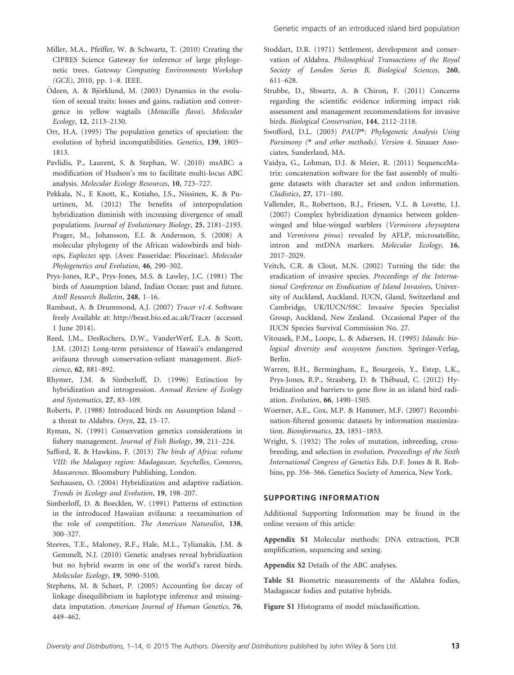- Miller, M.A., Pfeiffer, W. & Schwartz, T. (2010) Creating the CIPRES Science Gateway for inference of large phylogenetic trees. *Gateway Computing Environments Workshop (GCE),* 2010, pp. 1–8. IEEE.
- Ödeen, A. & Björklund, M. (2003) Dynamics in the evolution of sexual traits: losses and gains, radiation and convergence in yellow wagtails (*Motacilla flava*). *Molecular Ecology*, 12, 2113–2130.
- Orr, H.A. (1995) The population genetics of speciation: the evolution of hybrid incompatibilities. *Genetics*, 139, 1805– 1813.
- Pavlidis, P., Laurent, S. & Stephan, W. (2010) msABC: a modification of Hudson's ms to facilitate multi-locus ABC analysis. *Molecular Ecology Resources*, 10, 723–727.
- Pekkala, N., E Knott, K., Kotiaho, J.S., Nissinen, K. & Puurtinen, M. (2012) The benefits of interpopulation hybridization diminish with increasing divergence of small populations. *Journal of Evolutionary Biology*, 25, 2181–2193. Prager, M., Johansson, E.I. & Andersson, S. (2008) A molecular phylogeny of the African widowbirds and bishops, *Euplectes* spp. (Aves: Passeridae: Ploceinae). *Molecular Phylogenetics and Evolution*, 46, 290–302.
- Prys-Jones, R.P., Prys-Jones, M.S. & Lawley, J.C. (1981) The birds of Assumption Island, Indian Ocean: past and future. *Atoll Research Bulletin*, 248, 1–16.
- Rambaut, A. & Drummond, A.J. (2007) *Tracer v1.4*. Software freely Available at:<http://beast.bio.ed.ac.uk/Tracer> (accessed 1 June 2014).
- Reed, J.M., DesRochers, D.W., VanderWerf, E.A. & Scott, J.M. (2012) Long-term persistence of Hawaii's endangered avifauna through conservation-reliant management. *BioScience*, 62, 881–892.
- Rhymer, J.M. & Simberloff, D. (1996) Extinction by hybridization and introgression. *Annual Review of Ecology and Systematics*, 27, 83–109.
- Roberts, P. (1988) Introduced birds on Assumption Island a threat to Aldabra. *Oryx*, 22, 15–17.
- Ryman, N. (1991) Conservation genetics considerations in fishery management. *Journal of Fish Biology*, 39, 211–224.
- Safford, R. & Hawkins, F. (2013) *The birds of Africa: volume VIII: the Malagasy region: Madagascar, Seychelles, Comoros, Mascarenes*. Bloomsbury Publishing, London.
- Seehausen, O. (2004) Hybridization and adaptive radiation. *Trends in Ecology and Evolution*, 19, 198–207.
- Simberloff, D. & Boecklen, W. (1991) Patterns of extinction in the introduced Hawaiian avifauna: a reexamination of the role of competition. *The American Naturalist*, 138, 300–327.
- Steeves, T.E., Maloney, R.F., Hale, M.L., Tylianakis, J.M. & Gemmell, N.J. (2010) Genetic analyses reveal hybridization but no hybrid swarm in one of the world's rarest birds. *Molecular Ecology*, 19, 5090–5100.
- Stephens, M. & Scheet, P. (2005) Accounting for decay of linkage disequilibrium in haplotype inference and missingdata imputation. *American Journal of Human Genetics*, 76, 449–462.
- Stoddart, D.R. (1971) Settlement, development and conservation of Aldabra. *Philosophical Transactions of the Royal Society of London Series B, Biological Sciences*, 260, 611–628.
- Strubbe, D., Shwartz, A. & Chiron, F. (2011) Concerns regarding the scientific evidence informing impact risk assessment and management recommendations for invasive birds. *Biological Conservation*, 144, 2112–2118.
- Swofford, D.L. (2003) *PAUP*\**: Phylogenetic Analysis Using Parsimony (*\* *and other methods). Version 4*. Sinauer Associates, Sunderland, MA.
- Vaidya, G., Lohman, D.J. & Meier, R. (2011) SequenceMatrix: concatenation software for the fast assembly of multigene datasets with character set and codon information. *Cladistics*, 27, 171–180.
- Vallender, R., Robertson, R.J., Friesen, V.L. & Lovette, I.J. (2007) Complex hybridization dynamics between goldenwinged and blue-winged warblers (*Vermivora chrysoptera* and *Vermivora pinus*) revealed by AFLP, microsatellite, intron and mtDNA markers. *Molecular Ecology*, 16, 2017–2029.
- Veitch, C.R. & Clout, M.N. (2002) Turning the tide: the eradication of invasive species. *Proceedings of the International Conference on Eradication of Island Invasives*, University of Auckland, Auckland. IUCN, Gland, Switzerland and Cambridge, UK/IUCN/SSC Invasive Species Specialist Group, Auckland, New Zealand. Occasional Paper of the IUCN Species Survival Commission No. 27.
- Vitousek, P.M., Loope, L. & Adsersen, H. (1995) *Islands: biological diversity and ecosystem function*. Springer-Verlag, Berlin.
- Warren, B.H., Bermingham, E., Bourgeois, Y., Estep, L.K., Prys-Jones, R.P., Strasberg, D. & Thebaud, C. (2012) Hybridization and barriers to gene flow in an island bird radiation. *Evolution*, 66, 1490–1505.
- Woerner, A.E., Cox, M.P. & Hammer, M.F. (2007) Recombination-filtered genomic datasets by information maximization. *Bioinformatics*, 23, 1851–1853.
- Wright, S. (1932) The roles of mutation, inbreeding, crossbreeding, and selection in evolution. *Proceedings of the Sixth International Congress of Genetics* Eds. D.F. Jones & R. Robbins, pp. 356–366. Genetics Society of America, New York.

#### SUPPORTING INFORMATION

Additional Supporting Information may be found in the online version of this article:

Appendix S1 Molecular methods: DNA extraction, PCR amplification, sequencing and sexing.

Appendix S2 Details of the ABC analyses.

Table S1 Biometric measurements of the Aldabra fodies, Madagascar fodies and putative hybrids.

Figure S1 Histograms of model misclassification.